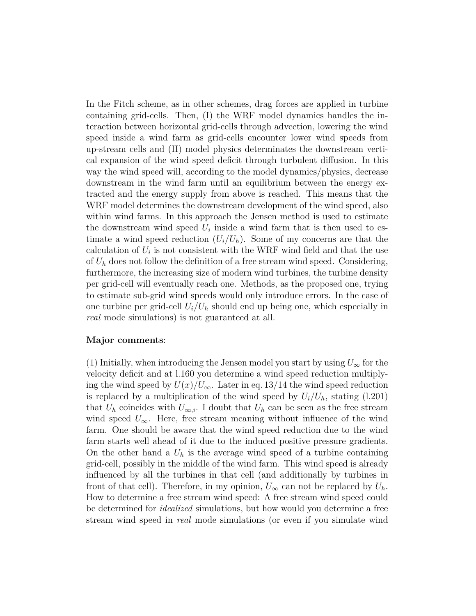In the Fitch scheme, as in other schemes, drag forces are applied in turbine containing grid-cells. Then, (I) the WRF model dynamics handles the interaction between horizontal grid-cells through advection, lowering the wind speed inside a wind farm as grid-cells encounter lower wind speeds from up-stream cells and (II) model physics determinates the downstream vertical expansion of the wind speed deficit through turbulent diffusion. In this way the wind speed will, according to the model dynamics/physics, decrease downstream in the wind farm until an equilibrium between the energy extracted and the energy supply from above is reached. This means that the WRF model determines the downstream development of the wind speed, also within wind farms. In this approach the Jensen method is used to estimate the downstream wind speed  $U_i$  inside a wind farm that is then used to estimate a wind speed reduction  $(U_i/U_h)$ . Some of my concerns are that the calculation of  $U_i$  is not consistent with the WRF wind field and that the use of *U<sup>h</sup>* does not follow the definition of a free stream wind speed. Considering, furthermore, the increasing size of modern wind turbines, the turbine density per grid-cell will eventually reach one. Methods, as the proposed one, trying to estimate sub-grid wind speeds would only introduce errors. In the case of one turbine per grid-cell  $U_i/U_h$  should end up being one, which especially in *real* mode simulations) is not guaranteed at all.

## **Major comments**:

(1) Initially, when introducing the Jensen model you start by using  $U_{\infty}$  for the velocity deficit and at l.160 you determine a wind speed reduction multiplying the wind speed by  $U(x)/U_{\infty}$ . Later in eq. 13/14 the wind speed reduction is replaced by a multiplication of the wind speed by  $U_i/U_h$ , stating (l.201) that  $U_h$  coincides with  $U_{\infty,i}$ . I doubt that  $U_h$  can be seen as the free stream wind speed  $U_\infty$ . Here, free stream meaning without influence of the wind farm. One should be aware that the wind speed reduction due to the wind farm starts well ahead of it due to the induced positive pressure gradients. On the other hand a  $U_h$  is the average wind speed of a turbine containing grid-cell, possibly in the middle of the wind farm. This wind speed is already influenced by all the turbines in that cell (and additionally by turbines in front of that cell). Therefore, in my opinion,  $U_{\infty}$  can not be replaced by  $U_h$ . How to determine a free stream wind speed: A free stream wind speed could be determined for *idealized* simulations, but how would you determine a free stream wind speed in *real* mode simulations (or even if you simulate wind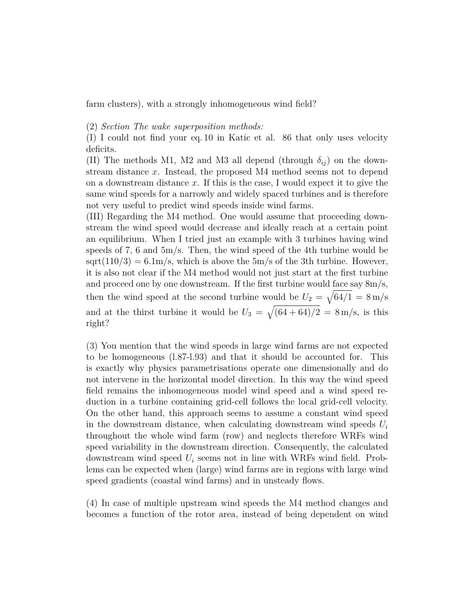farm clusters), with a strongly inhomogeneous wind field?

(2) *Section The wake superposition methods:*

(I) I could not find your eq. 10 in Katic et al. 86 that only uses velocity deficits.

(II) The methods M1, M2 and M3 all depend (through  $\delta_{ij}$ ) on the downstream distance *x*. Instead, the proposed M4 method seems not to depend on a downstream distance *x*. If this is the case, I would expect it to give the same wind speeds for a narrowly and widely spaced turbines and is therefore not very useful to predict wind speeds inside wind farms.

(III) Regarding the M4 method. One would assume that proceeding downstream the wind speed would decrease and ideally reach at a certain point an equilibrium. When I tried just an example with 3 turbines having wind speeds of 7, 6 and 5m/s. Then, the wind speed of the 4th turbine would be  $sqrt(110/3) = 6.1 \text{m/s}$ , which is above the 5m/s of the 3th turbine. However, it is also not clear if the M4 method would not just start at the first turbine and proceed one by one downstream. If the first turbine would face say 8m/s, then the wind speed at the second turbine would be  $U_2 = \sqrt{64/1} = 8 \text{ m/s}$ and at the thirst turbine it would be  $U_3 = \sqrt{(64 + 64)/2} = 8$  m/s, is this right?

(3) You mention that the wind speeds in large wind farms are not expected to be homogeneous (l.87-l.93) and that it should be accounted for. This is exactly why physics parametrisations operate one dimensionally and do not intervene in the horizontal model direction. In this way the wind speed field remains the inhomogeneous model wind speed and a wind speed reduction in a turbine containing grid-cell follows the local grid-cell velocity. On the other hand, this approach seems to assume a constant wind speed in the downstream distance, when calculating downstream wind speeds *U<sup>i</sup>* throughout the whole wind farm (row) and neglects therefore WRFs wind speed variability in the downstream direction. Consequently, the calculated downstream wind speed *U<sup>i</sup>* seems not in line with WRFs wind field. Problems can be expected when (large) wind farms are in regions with large wind speed gradients (coastal wind farms) and in unsteady flows.

(4) In case of multiple upstream wind speeds the M4 method changes and becomes a function of the rotor area, instead of being dependent on wind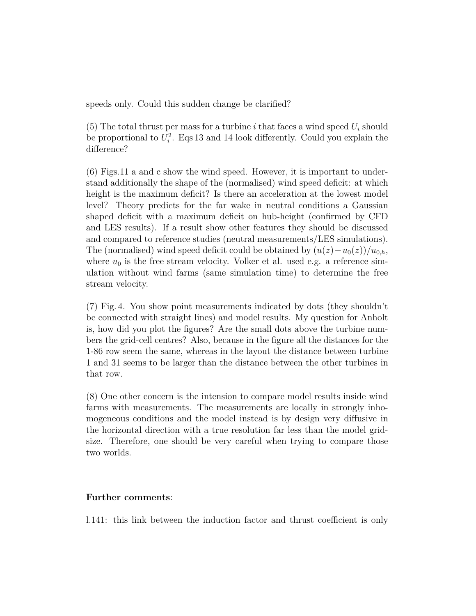speeds only. Could this sudden change be clarified?

 $(5)$  The total thrust per mass for a turbine *i* that faces a wind speed  $U_i$  should be proportional to  $U_i^2$ . Eqs 13 and 14 look differently. Could you explain the difference?

(6) Figs.11 a and c show the wind speed. However, it is important to understand additionally the shape of the (normalised) wind speed deficit: at which height is the maximum deficit? Is there an acceleration at the lowest model level? Theory predicts for the far wake in neutral conditions a Gaussian shaped deficit with a maximum deficit on hub-height (confirmed by CFD and LES results). If a result show other features they should be discussed and compared to reference studies (neutral measurements/LES simulations). The (normalised) wind speed deficit could be obtained by  $(u(z) - u_0(z))/u_{0,h}$ , where  $u_0$  is the free stream velocity. Volker et al. used e.g. a reference simulation without wind farms (same simulation time) to determine the free stream velocity.

(7) Fig. 4. You show point measurements indicated by dots (they shouldn't be connected with straight lines) and model results. My question for Anholt is, how did you plot the figures? Are the small dots above the turbine numbers the grid-cell centres? Also, because in the figure all the distances for the 1-86 row seem the same, whereas in the layout the distance between turbine 1 and 31 seems to be larger than the distance between the other turbines in that row.

(8) One other concern is the intension to compare model results inside wind farms with measurements. The measurements are locally in strongly inhomogeneous conditions and the model instead is by design very diffusive in the horizontal direction with a true resolution far less than the model gridsize. Therefore, one should be very careful when trying to compare those two worlds.

## **Further comments**:

l.141: this link between the induction factor and thrust coefficient is only